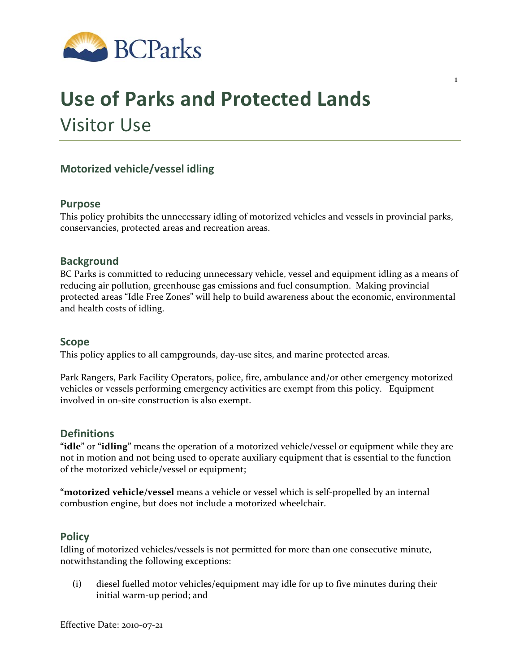

# **Use of Parks and Protected Lands** Visitor Use

# **Motorized vehicle/vessel idling**

### **Purpose**

This policy prohibits the unnecessary idling of motorized vehicles and vessels in provincial parks, conservancies, protected areas and recreation areas.

1

# **Background**

BC Parks is committed to reducing unnecessary vehicle, vessel and equipment idling as a means of reducing air pollution, greenhouse gas emissions and fuel consumption. Making provincial protected areas "Idle Free Zones" will help to build awareness about the economic, environmental and health costs of idling.

#### **Scope**

This policy applies to all campgrounds, day-use sites, and marine protected areas.

Park Rangers, Park Facility Operators, police, fire, ambulance and/or other emergency motorized vehicles or vessels performing emergency activities are exempt from this policy. Equipment involved in on‐site construction is also exempt.

# **Definitions**

**"idle"** or **"idling"** means the operation of a motorized vehicle/vessel or equipment while they are not in motion and not being used to operate auxiliary equipment that is essential to the function of the motorized vehicle/vessel or equipment;

**"motorized vehicle/vessel** means a vehicle or vessel which is self‐propelled by an internal combustion engine, but does not include a motorized wheelchair.

#### **Policy**

Idling of motorized vehicles/vessels is not permitted for more than one consecutive minute, notwithstanding the following exceptions:

(i) diesel fuelled motor vehicles/equipment may idle for up to five minutes during their initial warm‐up period; and